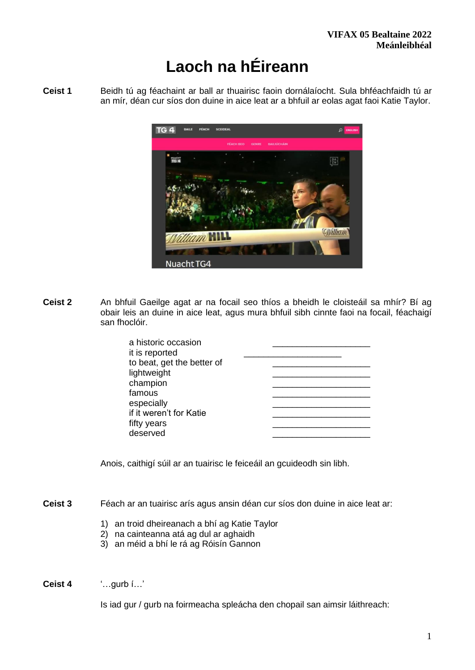# **Laoch na hÉireann**

**Ceist 1** Beidh tú ag féachaint ar ball ar thuairisc faoin dornálaíocht. Sula bhféachfaidh tú ar an mír, déan cur síos don duine in aice leat ar a bhfuil ar eolas agat faoi Katie Taylor.



**Ceist 2** An bhfuil Gaeilge agat ar na focail seo thíos a bheidh le cloisteáil sa mhír? Bí ag obair leis an duine in aice leat, agus mura bhfuil sibh cinnte faoi na focail, féachaigí san fhoclóir.

| a historic occasion        |  |
|----------------------------|--|
| it is reported             |  |
| to beat, get the better of |  |
| lightweight                |  |
| champion                   |  |
| famous                     |  |
| especially                 |  |
| if it weren't for Katie    |  |
| fifty years                |  |
| deserved                   |  |
|                            |  |

Anois, caithigí súil ar an tuairisc le feiceáil an gcuideodh sin libh.

- **Ceist 3** Féach ar an tuairisc arís agus ansin déan cur síos don duine in aice leat ar:
	- 1) an troid dheireanach a bhí ag Katie Taylor
	- 2) na cainteanna atá ag dul ar aghaidh
	- 3) an méid a bhí le rá ag Róisín Gannon
- **Ceist 4** '…gurb í…'

Is iad gur / gurb na foirmeacha spleácha den chopail san aimsir láithreach: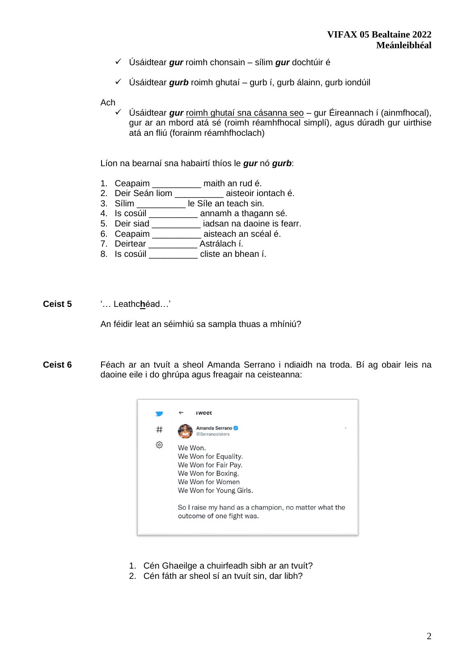- ✓ Úsáidtear *gur* roimh chonsain sílim *gur* dochtúir é
- ✓ Úsáidtear *gurb* roimh ghutaí gurb í, gurb álainn, gurb iondúil

Ach

✓ Úsáidtear *gur* roimh ghutaí sna cásanna seo – gur Éireannach í (ainmfhocal), gur ar an mbord atá sé (roimh réamhfhocal simplí), agus dúradh gur uirthise atá an fliú (forainm réamhfhoclach)

Líon na bearnaí sna habairtí thíos le *gur* nó *gurb*:

- 1. Ceapaim \_\_\_\_\_\_\_\_\_\_ maith an rud é.
- 2. Deir Seán liom \_\_\_\_\_\_\_\_\_\_ aisteoir iontach é.
- 3. Sílim \_\_\_\_\_\_\_\_\_\_ le Síle an teach sin.
- 4. Is cosúil \_\_\_\_\_\_\_\_\_\_\_\_ annamh a thagann sé.
- 5. Deir siad \_\_\_\_\_\_\_\_\_\_ iadsan na daoine is fearr.
- 6. Ceapaim \_\_\_\_\_\_\_\_\_\_\_ aisteach an scéal é.
- 7. Deirtear \_\_\_\_\_\_\_\_\_\_\_\_ Astrálach í.
- 8. Is cosúil cliste an bhean í.
- **Ceist 5** '… Leathc**h**éad…'

An féidir leat an séimhiú sa sampla thuas a mhíniú?

**Ceist 6** Féach ar an tvuít a sheol Amanda Serrano i ndiaidh na troda. Bí ag obair leis na daoine eile i do ghrúpa agus freagair na ceisteanna:



- 1. Cén Ghaeilge a chuirfeadh sibh ar an tvuít?
- 2. Cén fáth ar sheol sí an tvuít sin, dar libh?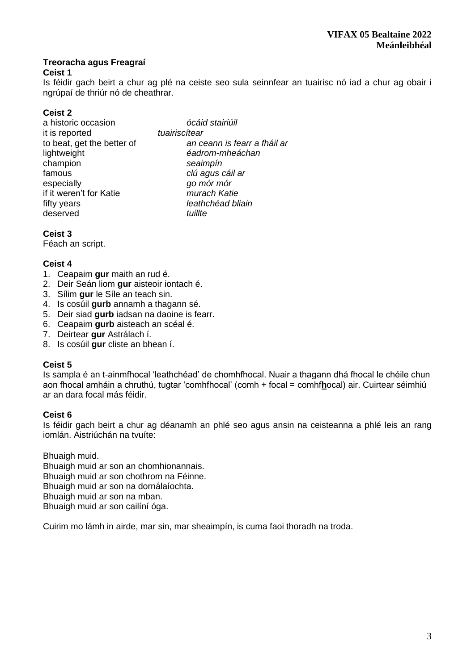## **Treoracha agus Freagraí**

## **Ceist 1**

Is féidir gach beirt a chur ag plé na ceiste seo sula seinnfear an tuairisc nó iad a chur ag obair i ngrúpaí de thriúr nó de cheathrar.

# **Ceist 2**

| ócáid stairiúil              |
|------------------------------|
| tuairiscítear                |
| an ceann is fearr a fháil ar |
| éadrom-mheáchan              |
| seaimpín                     |
| clú agus cáil ar             |
| go mór mór                   |
| murach Katie                 |
| leathchéad bliain            |
| tuillte                      |
|                              |

## **Ceist 3**

Féach an script.

# **Ceist 4**

- 1. Ceapaim **gur** maith an rud é.
- 2. Deir Seán liom **gur** aisteoir iontach é.
- 3. Sílim **gur** le Síle an teach sin.
- 4. Is cosúil **gurb** annamh a thagann sé.
- 5. Deir siad **gurb** iadsan na daoine is fearr.
- 6. Ceapaim **gurb** aisteach an scéal é.
- 7. Deirtear **gur** Astrálach í.
- 8. Is cosúil **gur** cliste an bhean í.

## **Ceist 5**

Is sampla é an t-ainmfhocal 'leathchéad' de chomhfhocal. Nuair a thagann dhá fhocal le chéile chun aon fhocal amháin a chruthú, tugtar 'comhfhocal' (comh + focal = comhf**h**ocal) air. Cuirtear séimhiú ar an dara focal más féidir.

## **Ceist 6**

Is féidir gach beirt a chur ag déanamh an phlé seo agus ansin na ceisteanna a phlé leis an rang iomlán. Aistriúchán na tvuíte:

Bhuaigh muid. Bhuaigh muid ar son an chomhionannais. Bhuaigh muid ar son chothrom na Féinne. Bhuaigh muid ar son na dornálaíochta. Bhuaigh muid ar son na mban. Bhuaigh muid ar son cailíní óga.

Cuirim mo lámh in airde, mar sin, mar sheaimpín, is cuma faoi thoradh na troda.